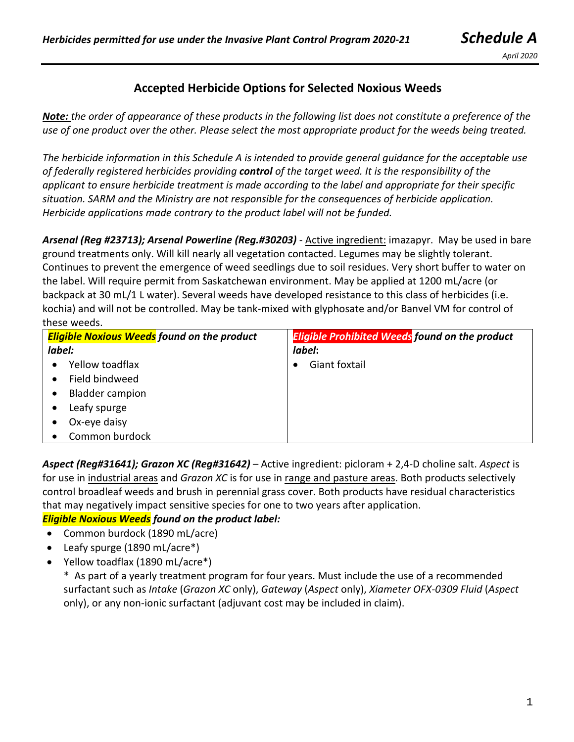*April 2020*

# **Accepted Herbicide Options for Selected Noxious Weeds**

*Note: the order of appearance of these products in the following list does not constitute a preference of the use of one product over the other. Please select the most appropriate product for the weeds being treated.*

*The herbicide information in this Schedule A is intended to provide general guidance for the acceptable use of federally registered herbicides providing control of the target weed. It is the responsibility of the applicant to ensure herbicide treatment is made according to the label and appropriate for their specific situation. SARM and the Ministry are not responsible for the consequences of herbicide application. Herbicide applications made contrary to the product label will not be funded.* 

*Arsenal (Reg #23713); Arsenal Powerline (Reg.#30203)* - Active ingredient: imazapyr. May be used in bare ground treatments only. Will kill nearly all vegetation contacted. Legumes may be slightly tolerant. Continues to prevent the emergence of weed seedlings due to soil residues. Very short buffer to water on the label. Will require permit from Saskatchewan environment. May be applied at 1200 mL/acre (or backpack at 30 mL/1 L water). Several weeds have developed resistance to this class of herbicides (i.e. kochia) and will not be controlled. May be tank-mixed with glyphosate and/or Banvel VM for control of these weeds.

| <b>Eligible Noxious Weeds</b> found on the product | <b>Eligible Prohibited Weeds found on the product</b> |
|----------------------------------------------------|-------------------------------------------------------|
| label:                                             | label:                                                |
| Yellow toadflax                                    | Giant foxtail                                         |
| Field bindweed                                     |                                                       |
| <b>Bladder campion</b>                             |                                                       |
| Leafy spurge                                       |                                                       |
| Ox-eye daisy                                       |                                                       |
| Common burdock                                     |                                                       |

*Aspect (Reg#31641); Grazon XC (Reg#31642) –* Active ingredient: picloram + 2,4-D choline salt. *Aspect* is for use in industrial areas and *Grazon XC* is for use in range and pasture areas. Both products selectively control broadleaf weeds and brush in perennial grass cover. Both products have residual characteristics that may negatively impact sensitive species for one to two years after application.

### *Eligible Noxious Weeds found on the product label:*

- Common burdock (1890 mL/acre)
- Leafy spurge (1890 mL/acre\*)
- Yellow toadflax (1890 mL/acre\*)

\* As part of a yearly treatment program for four years. Must include the use of a recommended surfactant such as *Intake* (*Grazon XC* only), *Gateway* (*Aspect* only), *Xiameter OFX-0309 Fluid* (*Aspect* only), or any non-ionic surfactant (adjuvant cost may be included in claim).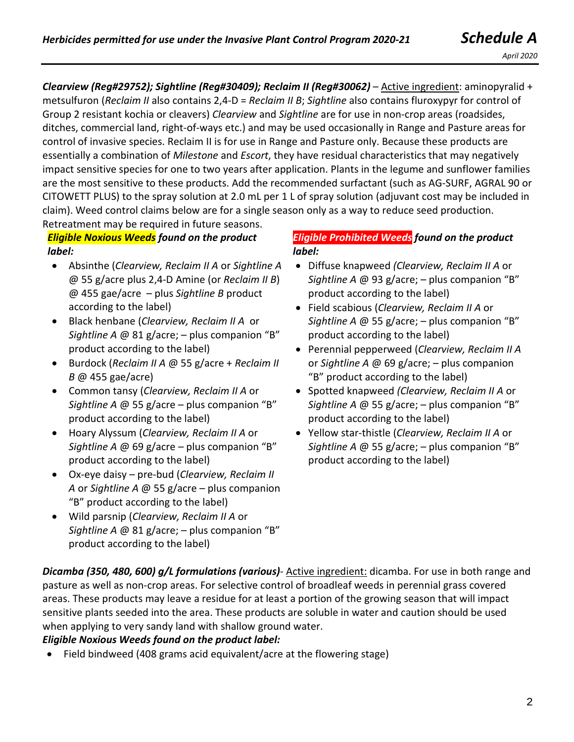*Clearview (Reg#29752); Sightline (Reg#30409); Reclaim II (Reg#30062)* – Active ingredient: aminopyralid + metsulfuron (*Reclaim II* also contains 2,4-D = *Reclaim II B*; *Sightline* also contains fluroxypyr for control of Group 2 resistant kochia or cleavers) *Clearview* and *Sightline* are for use in non-crop areas (roadsides, ditches, commercial land, right-of-ways etc.) and may be used occasionally in Range and Pasture areas for control of invasive species. Reclaim II is for use in Range and Pasture only. Because these products are essentially a combination of *Milestone* and *Escort*, they have residual characteristics that may negatively impact sensitive species for one to two years after application. Plants in the legume and sunflower families are the most sensitive to these products. Add the recommended surfactant (such as AG-SURF, AGRAL 90 or CITOWETT PLUS) to the spray solution at 2.0 mL per 1 L of spray solution (adjuvant cost may be included in claim). Weed control claims below are for a single season only as a way to reduce seed production. Retreatment may be required in future seasons.

*Eligible Noxious Weeds found on the product label:*

- Absinthe (*Clearview, Reclaim II A* or *Sightline A* @ 55 g/acre plus 2,4-D Amine (or *Reclaim II B*) @ 455 gae/acre – plus *Sightline B* product according to the label)
- Black henbane (*Clearview, Reclaim II A* or *Sightline A* @ 81 g/acre; – plus companion "B" product according to the label)
- Burdock (*Reclaim II A* @ 55 g/acre + *Reclaim II B* @ 455 gae/acre)
- Common tansy (*Clearview, Reclaim II A* or *Sightline A* @ 55 g/acre – plus companion "B" product according to the label)
- Hoary Alyssum (*Clearview, Reclaim II A* or *Sightline A* @ 69 g/acre – plus companion "B" product according to the label)
- Ox-eye daisy pre-bud (*Clearview, Reclaim II A* or *Sightline A* @ 55 g/acre – plus companion "B" product according to the label)
- Wild parsnip (*Clearview, Reclaim II A* or *Sightline A* @ 81 g/acre; – plus companion "B" product according to the label)

#### *Eligible Prohibited Weeds found on the product label:*

- Diffuse knapweed *(Clearview, Reclaim II A* or *Sightline A* @ 93 g/acre; – plus companion "B" product according to the label)
- Field scabious (*Clearview, Reclaim II A* or *Sightline A* @ 55 g/acre; – plus companion "B" product according to the label)
- Perennial pepperweed (*Clearview, Reclaim II A* or *Sightline A* @ 69 g/acre; – plus companion "B" product according to the label)
- Spotted knapweed *(Clearview, Reclaim II A* or *Sightline A* @ 55 g/acre; – plus companion "B" product according to the label)
- Yellow star-thistle (*Clearview, Reclaim II A* or *Sightline A* @ 55 g/acre; – plus companion "B" product according to the label)

*Dicamba (350, 480, 600) g/L formulations (various)*- Active ingredient: dicamba. For use in both range and pasture as well as non-crop areas. For selective control of broadleaf weeds in perennial grass covered areas. These products may leave a residue for at least a portion of the growing season that will impact sensitive plants seeded into the area. These products are soluble in water and caution should be used when applying to very sandy land with shallow ground water.

### *Eligible Noxious Weeds found on the product label:*

• Field bindweed (408 grams acid equivalent/acre at the flowering stage)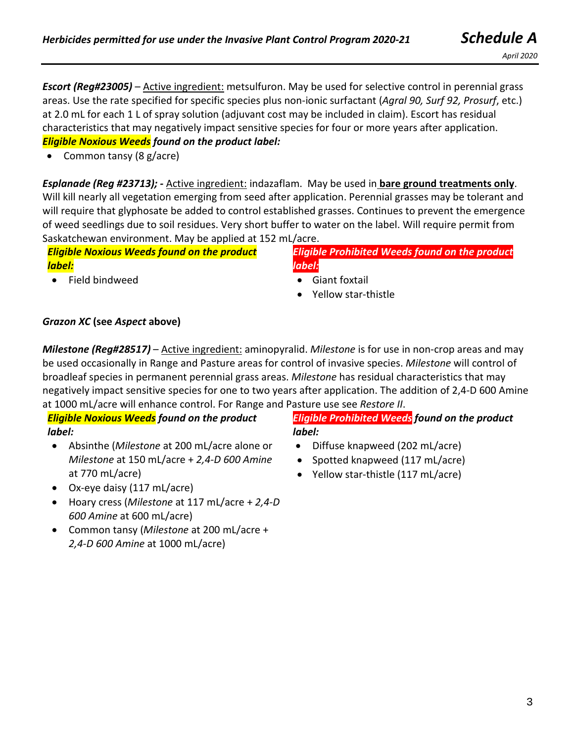*Escort (Reg#23005)* – Active ingredient: metsulfuron. May be used for selective control in perennial grass areas. Use the rate specified for specific species plus non-ionic surfactant (*Agral 90, Surf 92, Prosurf*, etc.) at 2.0 mL for each 1 L of spray solution (adjuvant cost may be included in claim). Escort has residual characteristics that may negatively impact sensitive species for four or more years after application. *Eligible Noxious Weeds found on the product label:*

• Common tansy (8 g/acre)

*Esplanade (Reg #23713); -* Active ingredient: indazaflam. May be used in **bare ground treatments only**. Will kill nearly all vegetation emerging from seed after application. Perennial grasses may be tolerant and will require that glyphosate be added to control established grasses. Continues to prevent the emergence of weed seedlings due to soil residues. Very short buffer to water on the label. Will require permit from Saskatchewan environment. May be applied at 152 mL/acre.

*Eligible Noxious Weeds found on the product label:*

• Field bindweed

*Eligible Prohibited Weeds found on the product label:*

- Giant foxtail
- Yellow star-thistle

### *Grazon XC* **(see** *Aspect* **above)**

*Milestone (Reg#28517)* – Active ingredient: aminopyralid. *Milestone* is for use in non-crop areas and may be used occasionally in Range and Pasture areas for control of invasive species. *Milestone* will control of broadleaf species in permanent perennial grass areas. *Milestone* has residual characteristics that may negatively impact sensitive species for one to two years after application. The addition of 2,4-D 600 Amine at 1000 mL/acre will enhance control. For Range and Pasture use see *Restore II*.

# *Eligible Noxious Weeds found on the product label:*

- Absinthe (*Milestone* at 200 mL/acre alone or *Milestone* at 150 mL/acre + *2,4-D 600 Amine* at 770 mL/acre)
- Ox-eye daisy (117 mL/acre)
- Hoary cress (*Milestone* at 117 mL/acre + *2,4-D 600 Amine* at 600 mL/acre)
- Common tansy (*Milestone* at 200 mL/acre + *2,4-D 600 Amine* at 1000 mL/acre)

*Eligible Prohibited Weeds found on the product label:*

- Diffuse knapweed (202 mL/acre)
- Spotted knapweed (117 mL/acre)
- Yellow star-thistle (117 mL/acre)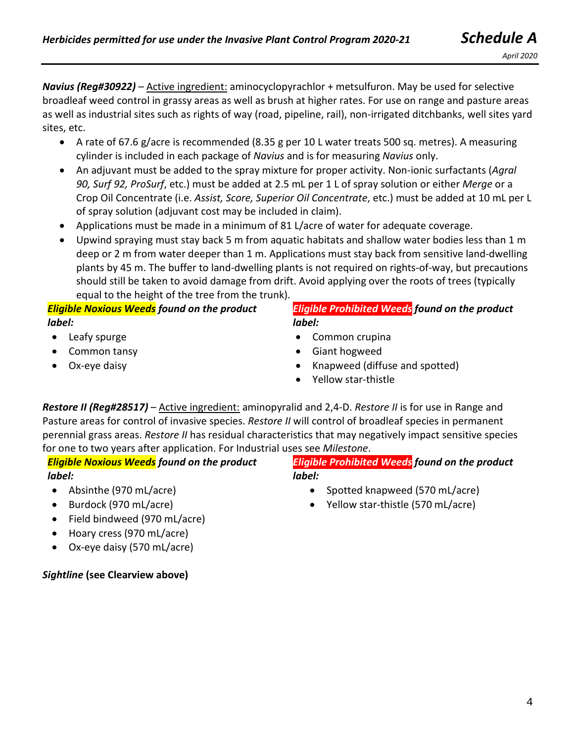*April 2020*

- A rate of 67.6 g/acre is recommended (8.35 g per 10 L water treats 500 sq. metres). A measuring cylinder is included in each package of *Navius* and is for measuring *Navius* only.
- An adjuvant must be added to the spray mixture for proper activity. Non-ionic surfactants (*Agral 90, Surf 92, ProSurf*, etc.) must be added at 2.5 mL per 1 L of spray solution or either *Merge* or a Crop Oil Concentrate (i.e. *Assist, Score, Superior Oil Concentrate*, etc.) must be added at 10 mL per L of spray solution (adjuvant cost may be included in claim).
- Applications must be made in a minimum of 81 L/acre of water for adequate coverage.
- Upwind spraying must stay back 5 m from aquatic habitats and shallow water bodies less than 1 m deep or 2 m from water deeper than 1 m. Applications must stay back from sensitive land-dwelling plants by 45 m. The buffer to land-dwelling plants is not required on rights-of-way, but precautions should still be taken to avoid damage from drift. Avoid applying over the roots of trees (typically equal to the height of the tree from the trunk).

## *Eligible Noxious Weeds found on the product label:*

- Leafy spurge
- Common tansy
- Ox-eye daisy

#### *Eligible Prohibited Weeds found on the product label:*

- Common crupina
- Giant hogweed
- Knapweed (diffuse and spotted)
- Yellow star-thistle

*Restore II (Reg#28517)* – Active ingredient: aminopyralid and 2,4-D. *Restore II* is for use in Range and Pasture areas for control of invasive species. *Restore II* will control of broadleaf species in permanent perennial grass areas. *Restore II* has residual characteristics that may negatively impact sensitive species for one to two years after application. For Industrial uses see *Milestone*.

*Eligible Noxious Weeds found on the product label:*

- Absinthe (970 mL/acre)
- Burdock (970 mL/acre)
- Field bindweed (970 mL/acre)
- Hoary cress (970 mL/acre)
- Ox-eye daisy (570 mL/acre)

# *Sightline* **(see Clearview above)**

*Eligible Prohibited Weeds found on the product label:*

- Spotted knapweed (570 mL/acre)
- Yellow star-thistle (570 mL/acre)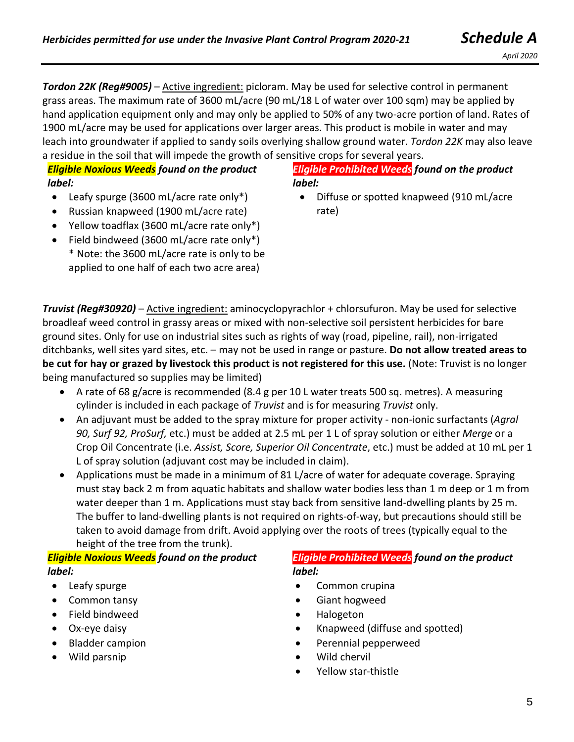**Tordon 22K (Reg#9005)** – Active ingredient: picloram. May be used for selective control in permanent grass areas. The maximum rate of 3600 mL/acre (90 mL/18 L of water over 100 sqm) may be applied by hand application equipment only and may only be applied to 50% of any two-acre portion of land. Rates of 1900 mL/acre may be used for applications over larger areas. This product is mobile in water and may leach into groundwater if applied to sandy soils overlying shallow ground water. *Tordon 22K* may also leave a residue in the soil that will impede the growth of sensitive crops for several years.

## *Eligible Noxious Weeds found on the product label:*

- Leafy spurge (3600 mL/acre rate only\*)
- Russian knapweed (1900 mL/acre rate)
- Yellow toadflax (3600 mL/acre rate only\*)
- Field bindweed (3600 mL/acre rate only\*) \* Note: the 3600 mL/acre rate is only to be applied to one half of each two acre area)

### *Eligible Prohibited Weeds found on the product label:*

• Diffuse or spotted knapweed (910 mL/acre rate)

**Truvist (Reg#30920)** – Active ingredient: aminocyclopyrachlor + chlorsufuron. May be used for selective broadleaf weed control in grassy areas or mixed with non-selective soil persistent herbicides for bare ground sites. Only for use on industrial sites such as rights of way (road, pipeline, rail), non-irrigated ditchbanks, well sites yard sites, etc. – may not be used in range or pasture. **Do not allow treated areas to be cut for hay or grazed by livestock this product is not registered for this use.** (Note: Truvist is no longer being manufactured so supplies may be limited)

- A rate of 68 g/acre is recommended (8.4 g per 10 L water treats 500 sq. metres). A measuring cylinder is included in each package of *Truvist* and is for measuring *Truvist* only.
- An adjuvant must be added to the spray mixture for proper activity non-ionic surfactants (*Agral 90, Surf 92, ProSurf,* etc.) must be added at 2.5 mL per 1 L of spray solution or either *Merge* or a Crop Oil Concentrate (i.e. *Assist, Score, Superior Oil Concentrate*, etc.) must be added at 10 mL per 1 L of spray solution (adjuvant cost may be included in claim).
- Applications must be made in a minimum of 81 L/acre of water for adequate coverage. Spraying must stay back 2 m from aquatic habitats and shallow water bodies less than 1 m deep or 1 m from water deeper than 1 m. Applications must stay back from sensitive land-dwelling plants by 25 m. The buffer to land-dwelling plants is not required on rights-of-way, but precautions should still be taken to avoid damage from drift. Avoid applying over the roots of trees (typically equal to the height of the tree from the trunk).

### *Eligible Noxious Weeds found on the product label:*

- Leafy spurge
- Common tansy
- Field bindweed
- Ox-eye daisy
- Bladder campion
- Wild parsnip

*Eligible Prohibited Weeds found on the product label:*

- Common crupina
- Giant hogweed
- Halogeton
- Knapweed (diffuse and spotted)
- Perennial pepperweed
- Wild chervil
- Yellow star-thistle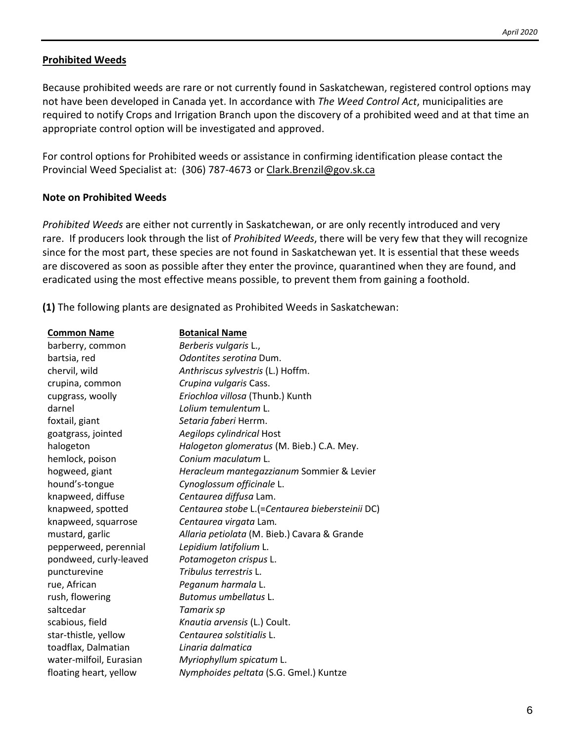#### **Prohibited Weeds**

Because prohibited weeds are rare or not currently found in Saskatchewan, registered control options may not have been developed in Canada yet. In accordance with *The Weed Control Act*, municipalities are required to notify Crops and Irrigation Branch upon the discovery of a prohibited weed and at that time an appropriate control option will be investigated and approved.

For control options for Prohibited weeds or assistance in confirming identification please contact the Provincial Weed Specialist at: (306) 787-4673 or [Clark.Brenzil@gov.sk.ca](mailto:Clark.Brenzil@gov.sk.ca)

#### **Note on Prohibited Weeds**

*Prohibited Weeds* are either not currently in Saskatchewan, or are only recently introduced and very rare. If producers look through the list of *Prohibited Weeds*, there will be very few that they will recognize since for the most part, these species are not found in Saskatchewan yet. It is essential that these weeds are discovered as soon as possible after they enter the province, quarantined when they are found, and eradicated using the most effective means possible, to prevent them from gaining a foothold.

**(1)** The following plants are designated as Prohibited Weeds in Saskatchewan:

| <b>Common Name</b>      | <b>Botanical Name</b>                           |
|-------------------------|-------------------------------------------------|
| barberry, common        | Berberis vulgaris L.,                           |
| bartsia, red            | Odontites seroting Dum.                         |
| chervil, wild           | Anthriscus sylvestris (L.) Hoffm.               |
| crupina, common         | Crupina vulgaris Cass.                          |
| cupgrass, woolly        | Eriochloa villosa (Thunb.) Kunth                |
| darnel                  | Lolium temulentum L.                            |
| foxtail, giant          | Setaria faberi Herrm.                           |
| goatgrass, jointed      | Aegilops cylindrical Host                       |
| halogeton               | Halogeton glomeratus (M. Bieb.) C.A. Mey.       |
| hemlock, poison         | Conium maculatum L.                             |
| hogweed, giant          | Heracleum mantegazzianum Sommier & Levier       |
| hound's-tongue          | Cynoglossum officinale L.                       |
| knapweed, diffuse       | Centaurea diffusa Lam.                          |
| knapweed, spotted       | Centaurea stobe L.(=Centaurea biebersteinii DC) |
| knapweed, squarrose     | Centaurea virgata Lam.                          |
| mustard, garlic         | Allaria petiolata (M. Bieb.) Cavara & Grande    |
| pepperweed, perennial   | Lepidium latifolium L.                          |
| pondweed, curly-leaved  | Potamogeton crispus L.                          |
| puncturevine            | Tribulus terrestris L.                          |
| rue, African            | Peganum harmala L.                              |
| rush, flowering         | Butomus umbellatus L.                           |
| saltcedar               | Tamarix sp                                      |
| scabious, field         | Knautia arvensis (L.) Coult.                    |
| star-thistle, yellow    | Centaurea solstitialis L.                       |
| toadflax, Dalmatian     | Linaria dalmatica                               |
| water-milfoil, Eurasian | Myriophyllum spicatum L.                        |
| floating heart, yellow  | Nymphoides peltata (S.G. Gmel.) Kuntze          |
|                         |                                                 |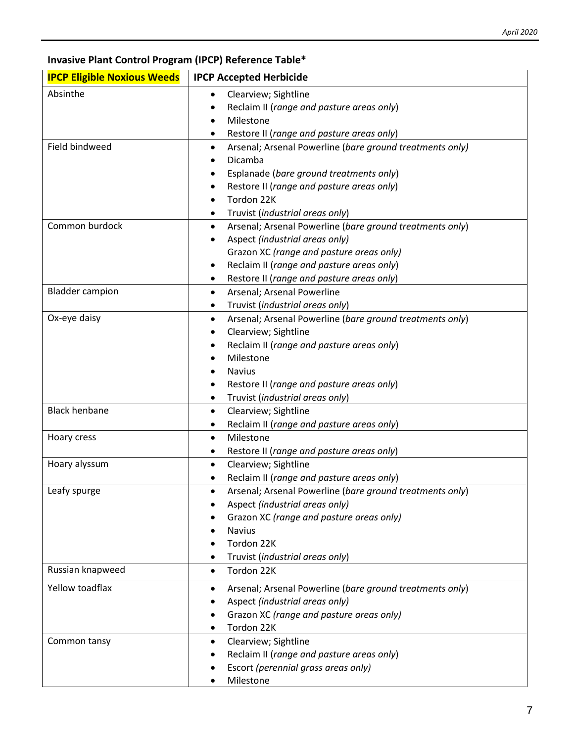## **Invasive Plant Control Program (IPCP) Reference Table\***

| <b>IPCP Eligible Noxious Weeds</b> | <b>IPCP Accepted Herbicide</b>                                                        |
|------------------------------------|---------------------------------------------------------------------------------------|
| Absinthe                           | Clearview; Sightline<br>$\bullet$                                                     |
|                                    | Reclaim II (range and pasture areas only)                                             |
|                                    | Milestone                                                                             |
|                                    | Restore II (range and pasture areas only)                                             |
| Field bindweed                     | Arsenal; Arsenal Powerline (bare ground treatments only)<br>$\bullet$                 |
|                                    | Dicamba                                                                               |
|                                    | Esplanade (bare ground treatments only)<br>٠                                          |
|                                    | Restore II (range and pasture areas only)                                             |
|                                    | Tordon 22K                                                                            |
|                                    | Truvist (industrial areas only)<br>٠                                                  |
| Common burdock                     | Arsenal; Arsenal Powerline (bare ground treatments only)<br>٠                         |
|                                    | Aspect (industrial areas only)<br>٠                                                   |
|                                    | Grazon XC (range and pasture areas only)<br>Reclaim II (range and pasture areas only) |
|                                    | ٠<br>Restore II (range and pasture areas only)<br>٠                                   |
| <b>Bladder campion</b>             | Arsenal; Arsenal Powerline<br>$\bullet$                                               |
|                                    | Truvist (industrial areas only)                                                       |
| Ox-eye daisy                       | Arsenal; Arsenal Powerline (bare ground treatments only)<br>٠                         |
|                                    | Clearview; Sightline                                                                  |
|                                    | Reclaim II (range and pasture areas only)                                             |
|                                    | Milestone                                                                             |
|                                    | <b>Navius</b>                                                                         |
|                                    | Restore II (range and pasture areas only)<br>٠                                        |
|                                    | Truvist (industrial areas only)<br>$\bullet$                                          |
| <b>Black henbane</b>               | Clearview; Sightline<br>$\bullet$                                                     |
|                                    | Reclaim II (range and pasture areas only)                                             |
| Hoary cress                        | Milestone<br>$\bullet$                                                                |
|                                    | Restore II (range and pasture areas only)                                             |
| Hoary alyssum                      | Clearview; Sightline<br>$\bullet$                                                     |
|                                    | Reclaim II (range and pasture areas only)<br>$\bullet$                                |
| Leafy spurge                       | Arsenal; Arsenal Powerline (bare ground treatments only)                              |
|                                    | Aspect (industrial areas only)                                                        |
|                                    | Grazon XC (range and pasture areas only)                                              |
|                                    | <b>Navius</b>                                                                         |
|                                    | Tordon 22K                                                                            |
|                                    | Truvist (industrial areas only)                                                       |
| Russian knapweed                   | Tordon 22K<br>$\bullet$                                                               |
| Yellow toadflax                    | Arsenal; Arsenal Powerline (bare ground treatments only)<br>٠                         |
|                                    | Aspect (industrial areas only)                                                        |
|                                    | Grazon XC (range and pasture areas only)                                              |
|                                    | Tordon 22K<br>٠                                                                       |
| Common tansy                       | Clearview; Sightline<br>$\bullet$                                                     |
|                                    | Reclaim II (range and pasture areas only)                                             |
|                                    | Escort (perennial grass areas only)                                                   |
|                                    | Milestone                                                                             |